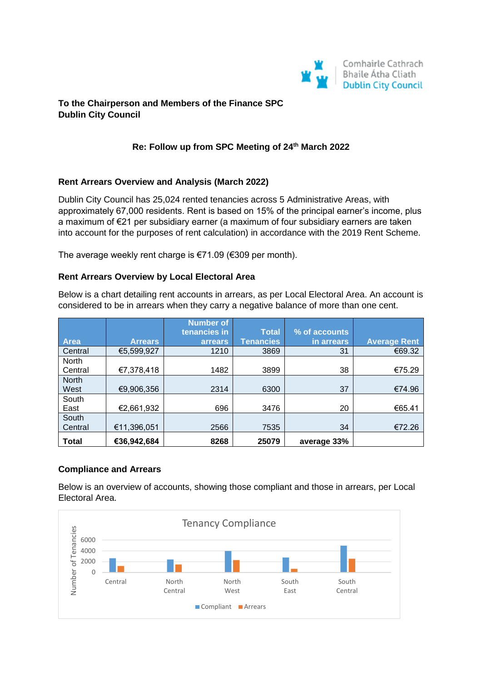

## **To the Chairperson and Members of the Finance SPC Dublin City Council**

## **Re: Follow up from SPC Meeting of 24th March 2022**

### **Rent Arrears Overview and Analysis (March 2022)**

Dublin City Council has 25,024 rented tenancies across 5 Administrative Areas, with approximately 67,000 residents. Rent is based on 15% of the principal earner's income, plus a maximum of €21 per subsidiary earner (a maximum of four subsidiary earners are taken into account for the purposes of rent calculation) in accordance with the 2019 Rent Scheme.

The average weekly rent charge is €71.09 (€309 per month).

#### **Rent Arrears Overview by Local Electoral Area**

Below is a chart detailing rent accounts in arrears, as per Local Electoral Area. An account is considered to be in arrears when they carry a negative balance of more than one cent.

|              |                | <b>Number of</b> |                  |               |                     |
|--------------|----------------|------------------|------------------|---------------|---------------------|
|              |                | tenancies in     | <b>Total</b>     | % of accounts |                     |
| <b>Area</b>  | <b>Arrears</b> | arrears          | <b>Tenancies</b> | in arrears    | <b>Average Rent</b> |
| Central      | €5,599,927     | 1210             | 3869             | 31            | €69.32              |
| <b>North</b> |                |                  |                  |               |                     |
| Central      | €7,378,418     | 1482             | 3899             | 38            | €75.29              |
| <b>North</b> |                |                  |                  |               |                     |
| West         | €9,906,356     | 2314             | 6300             | 37            | €74.96              |
| South        |                |                  |                  |               |                     |
| East         | €2,661,932     | 696              | 3476             | 20            | €65.41              |
| South        |                |                  |                  |               |                     |
| Central      | €11,396,051    | 2566             | 7535             | 34            | €72.26              |
| <b>Total</b> | €36,942,684    | 8268             | 25079            | average 33%   |                     |

#### **Compliance and Arrears**

Below is an overview of accounts, showing those compliant and those in arrears, per Local Electoral Area.

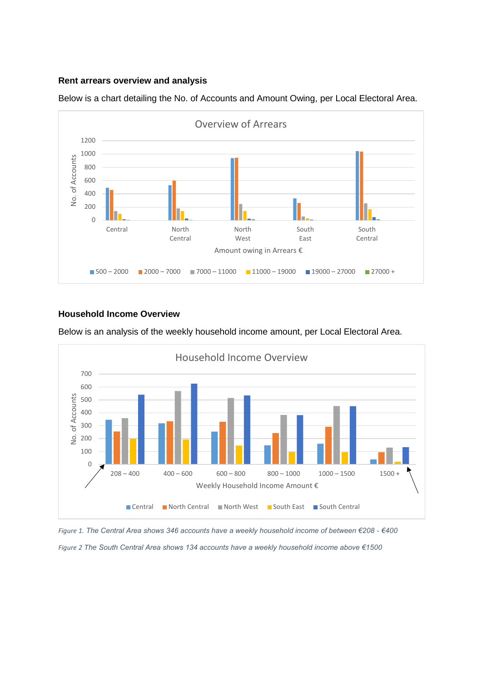### **Rent arrears overview and analysis**



Below is a chart detailing the No. of Accounts and Amount Owing, per Local Electoral Area.

### **Household Income Overview**



Below is an analysis of the weekly household income amount, per Local Electoral Area.

*Figure 1. The Central Area shows 346 accounts have a weekly household income of between €208 - €400 Figure 2 The South Central Area shows 134 accounts have a weekly household income above €1500*